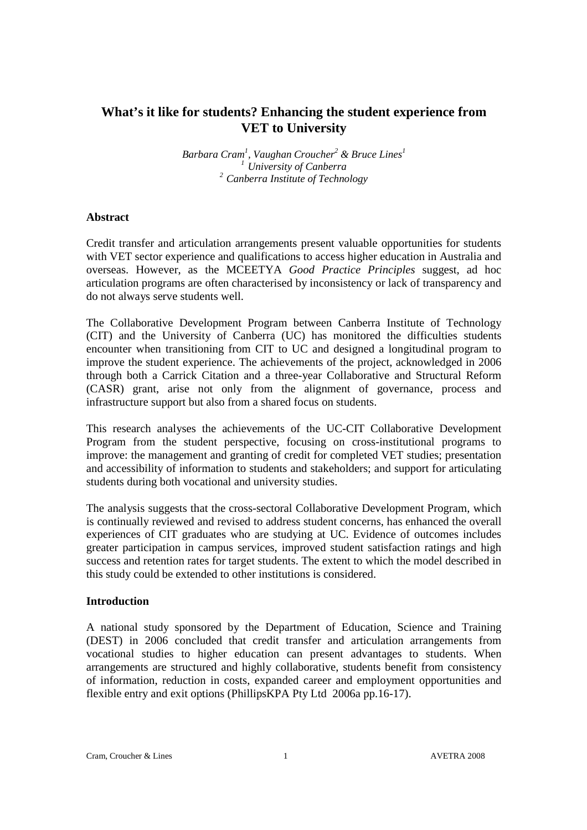# **What's it like for students? Enhancing the student experience from VET to University**

*Barbara Cram<sup>1</sup> , Vaughan Croucher<sup>2</sup> & Bruce Lines<sup>1</sup> <sup>1</sup>University of Canberra <sup>2</sup>Canberra Institute of Technology* 

### **Abstract**

Credit transfer and articulation arrangements present valuable opportunities for students with VET sector experience and qualifications to access higher education in Australia and overseas. However, as the MCEETYA *Good Practice Principles* suggest, ad hoc articulation programs are often characterised by inconsistency or lack of transparency and do not always serve students well.

The Collaborative Development Program between Canberra Institute of Technology (CIT) and the University of Canberra (UC) has monitored the difficulties students encounter when transitioning from CIT to UC and designed a longitudinal program to improve the student experience. The achievements of the project, acknowledged in 2006 through both a Carrick Citation and a three-year Collaborative and Structural Reform (CASR) grant, arise not only from the alignment of governance, process and infrastructure support but also from a shared focus on students.

This research analyses the achievements of the UC-CIT Collaborative Development Program from the student perspective, focusing on cross-institutional programs to improve: the management and granting of credit for completed VET studies; presentation and accessibility of information to students and stakeholders; and support for articulating students during both vocational and university studies.

The analysis suggests that the cross-sectoral Collaborative Development Program, which is continually reviewed and revised to address student concerns, has enhanced the overall experiences of CIT graduates who are studying at UC. Evidence of outcomes includes greater participation in campus services, improved student satisfaction ratings and high success and retention rates for target students. The extent to which the model described in this study could be extended to other institutions is considered.

# **Introduction**

A national study sponsored by the Department of Education, Science and Training (DEST) in 2006 concluded that credit transfer and articulation arrangements from vocational studies to higher education can present advantages to students. When arrangements are structured and highly collaborative, students benefit from consistency of information, reduction in costs, expanded career and employment opportunities and flexible entry and exit options (PhillipsKPA Pty Ltd 2006a pp.16-17).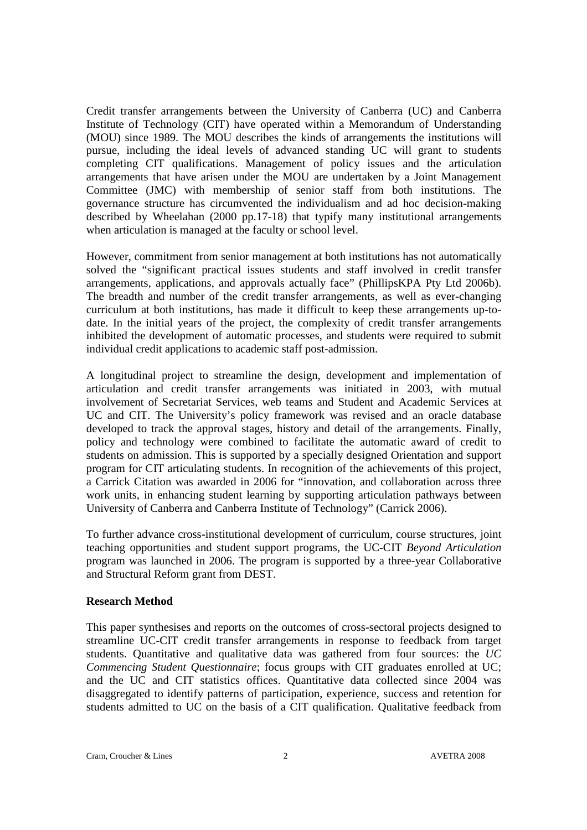Credit transfer arrangements between the University of Canberra (UC) and Canberra Institute of Technology (CIT) have operated within a Memorandum of Understanding (MOU) since 1989. The MOU describes the kinds of arrangements the institutions will pursue, including the ideal levels of advanced standing UC will grant to students completing CIT qualifications. Management of policy issues and the articulation arrangements that have arisen under the MOU are undertaken by a Joint Management Committee (JMC) with membership of senior staff from both institutions. The governance structure has circumvented the individualism and ad hoc decision-making described by Wheelahan (2000 pp.17-18) that typify many institutional arrangements when articulation is managed at the faculty or school level.

However, commitment from senior management at both institutions has not automatically solved the "significant practical issues students and staff involved in credit transfer arrangements, applications, and approvals actually face" (PhillipsKPA Pty Ltd 2006b). The breadth and number of the credit transfer arrangements, as well as ever-changing curriculum at both institutions, has made it difficult to keep these arrangements up-todate. In the initial years of the project, the complexity of credit transfer arrangements inhibited the development of automatic processes, and students were required to submit individual credit applications to academic staff post-admission.

A longitudinal project to streamline the design, development and implementation of articulation and credit transfer arrangements was initiated in 2003, with mutual involvement of Secretariat Services, web teams and Student and Academic Services at UC and CIT. The University's policy framework was revised and an oracle database developed to track the approval stages, history and detail of the arrangements. Finally, policy and technology were combined to facilitate the automatic award of credit to students on admission. This is supported by a specially designed Orientation and support program for CIT articulating students. In recognition of the achievements of this project, a Carrick Citation was awarded in 2006 for "innovation, and collaboration across three work units, in enhancing student learning by supporting articulation pathways between University of Canberra and Canberra Institute of Technology" (Carrick 2006).

To further advance cross-institutional development of curriculum, course structures, joint teaching opportunities and student support programs, the UC-CIT *Beyond Articulation*  program was launched in 2006. The program is supported by a three-year Collaborative and Structural Reform grant from DEST.

# **Research Method**

This paper synthesises and reports on the outcomes of cross-sectoral projects designed to streamline UC-CIT credit transfer arrangements in response to feedback from target students. Quantitative and qualitative data was gathered from four sources: the *UC Commencing Student Questionnaire*; focus groups with CIT graduates enrolled at UC; and the UC and CIT statistics offices. Quantitative data collected since 2004 was disaggregated to identify patterns of participation, experience, success and retention for students admitted to UC on the basis of a CIT qualification. Qualitative feedback from

Cram, Croucher & Lines 2 AVETRA 2008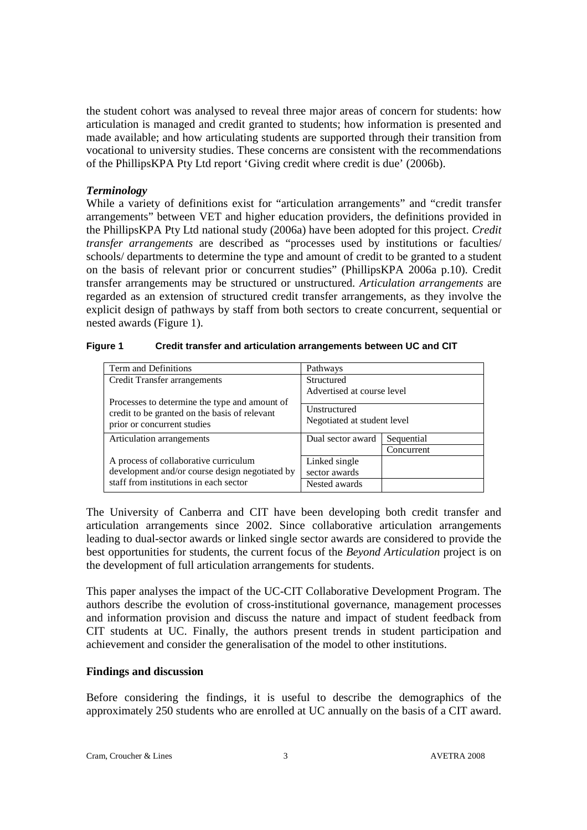the student cohort was analysed to reveal three major areas of concern for students: how articulation is managed and credit granted to students; how information is presented and made available; and how articulating students are supported through their transition from vocational to university studies. These concerns are consistent with the recommendations of the PhillipsKPA Pty Ltd report 'Giving credit where credit is due' (2006b).

### *Terminology*

While a variety of definitions exist for "articulation arrangements" and "credit transfer arrangements" between VET and higher education providers, the definitions provided in the PhillipsKPA Pty Ltd national study (2006a) have been adopted for this project. *Credit transfer arrangements* are described as "processes used by institutions or faculties/ schools/ departments to determine the type and amount of credit to be granted to a student on the basis of relevant prior or concurrent studies" (PhillipsKPA 2006a p.10). Credit transfer arrangements may be structured or unstructured. *Articulation arrangements* are regarded as an extension of structured credit transfer arrangements, as they involve the explicit design of pathways by staff from both sectors to create concurrent, sequential or nested awards (Figure 1).

| Term and Definitions                           | Pathways                    |            |  |
|------------------------------------------------|-----------------------------|------------|--|
| Credit Transfer arrangements                   | Structured                  |            |  |
|                                                | Advertised at course level  |            |  |
| Processes to determine the type and amount of  |                             |            |  |
| credit to be granted on the basis of relevant  | Unstructured                |            |  |
| prior or concurrent studies                    | Negotiated at student level |            |  |
|                                                |                             |            |  |
| Articulation arrangements                      | Dual sector award           | Sequential |  |
|                                                |                             | Concurrent |  |
| A process of collaborative curriculum          | Linked single               |            |  |
| development and/or course design negotiated by | sector awards               |            |  |
| staff from institutions in each sector         | Nested awards               |            |  |

| Figure 1 | Credit transfer and articulation arrangements between UC and CIT |  |  |
|----------|------------------------------------------------------------------|--|--|
|----------|------------------------------------------------------------------|--|--|

The University of Canberra and CIT have been developing both credit transfer and articulation arrangements since 2002. Since collaborative articulation arrangements leading to dual-sector awards or linked single sector awards are considered to provide the best opportunities for students, the current focus of the *Beyond Articulation* project is on the development of full articulation arrangements for students.

This paper analyses the impact of the UC-CIT Collaborative Development Program. The authors describe the evolution of cross-institutional governance, management processes and information provision and discuss the nature and impact of student feedback from CIT students at UC. Finally, the authors present trends in student participation and achievement and consider the generalisation of the model to other institutions.

# **Findings and discussion**

Before considering the findings, it is useful to describe the demographics of the approximately 250 students who are enrolled at UC annually on the basis of a CIT award.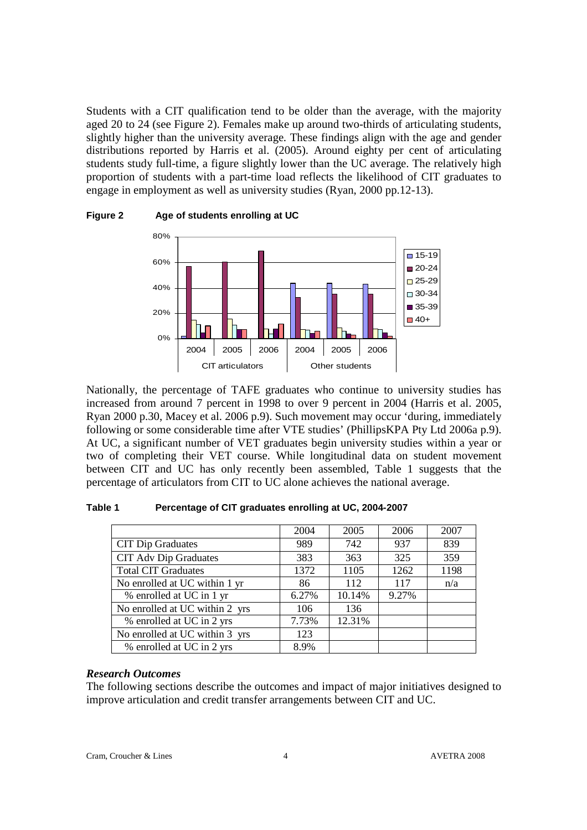Students with a CIT qualification tend to be older than the average, with the majority aged 20 to 24 (see Figure 2). Females make up around two-thirds of articulating students, slightly higher than the university average. These findings align with the age and gender distributions reported by Harris et al. (2005). Around eighty per cent of articulating students study full-time, a figure slightly lower than the UC average. The relatively high proportion of students with a part-time load reflects the likelihood of CIT graduates to engage in employment as well as university studies (Ryan, 2000 pp.12-13).



**Figure 2 Age of students enrolling at UC** 

Nationally, the percentage of TAFE graduates who continue to university studies has increased from around 7 percent in 1998 to over 9 percent in 2004 (Harris et al. 2005, Ryan 2000 p.30, Macey et al. 2006 p.9). Such movement may occur 'during, immediately following or some considerable time after VTE studies' (PhillipsKPA Pty Ltd 2006a p.9). At UC, a significant number of VET graduates begin university studies within a year or two of completing their VET course. While longitudinal data on student movement between CIT and UC has only recently been assembled, Table 1 suggests that the percentage of articulators from CIT to UC alone achieves the national average.

**Table 1 Percentage of CIT graduates enrolling at UC, 2004-2007** 

|                                | 2004  | 2005   | 2006  | 2007 |
|--------------------------------|-------|--------|-------|------|
| <b>CIT Dip Graduates</b>       | 989   | 742    | 937   | 839  |
| <b>CIT Adv Dip Graduates</b>   | 383   | 363    | 325   | 359  |
| <b>Total CIT Graduates</b>     | 1372  | 1105   | 1262  | 1198 |
| No enrolled at UC within 1 yr  | 86    | 112    | 117   | n/a  |
| % enrolled at UC in 1 yr       | 6.27% | 10.14% | 9.27% |      |
| No enrolled at UC within 2 yrs | 106   | 136    |       |      |
| % enrolled at UC in 2 yrs      | 7.73% | 12.31% |       |      |
| No enrolled at UC within 3 yrs | 123   |        |       |      |
| % enrolled at UC in 2 yrs      | 8.9%  |        |       |      |

# *Research Outcomes*

The following sections describe the outcomes and impact of major initiatives designed to improve articulation and credit transfer arrangements between CIT and UC.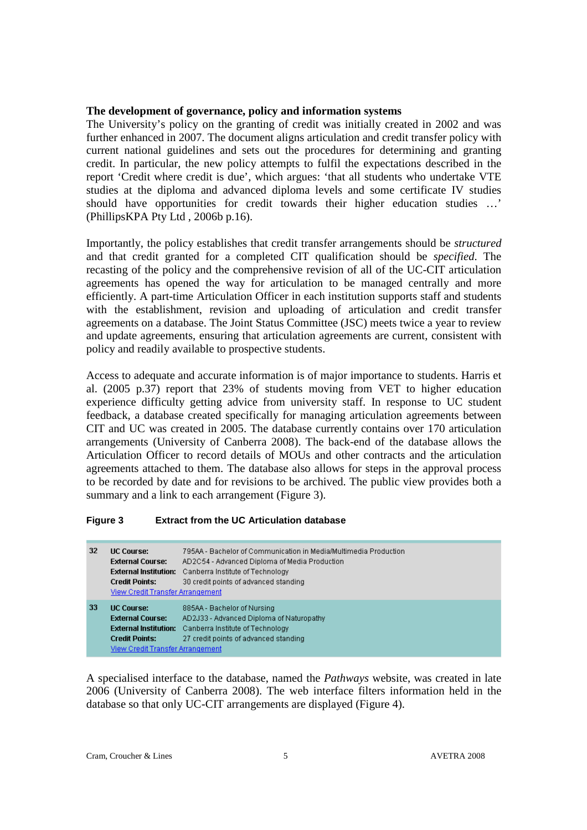### **The development of governance, policy and information systems**

The University's policy on the granting of credit was initially created in 2002 and was further enhanced in 2007. The document aligns articulation and credit transfer policy with current national guidelines and sets out the procedures for determining and granting credit. In particular, the new policy attempts to fulfil the expectations described in the report 'Credit where credit is due', which argues: 'that all students who undertake VTE studies at the diploma and advanced diploma levels and some certificate IV studies should have opportunities for credit towards their higher education studies …' (PhillipsKPA Pty Ltd , 2006b p.16).

Importantly, the policy establishes that credit transfer arrangements should be *structured* and that credit granted for a completed CIT qualification should be *specified*. The recasting of the policy and the comprehensive revision of all of the UC-CIT articulation agreements has opened the way for articulation to be managed centrally and more efficiently. A part-time Articulation Officer in each institution supports staff and students with the establishment, revision and uploading of articulation and credit transfer agreements on a database. The Joint Status Committee (JSC) meets twice a year to review and update agreements, ensuring that articulation agreements are current, consistent with policy and readily available to prospective students.

Access to adequate and accurate information is of major importance to students. Harris et al. (2005 p.37) report that 23% of students moving from VET to higher education experience difficulty getting advice from university staff. In response to UC student feedback, a database created specifically for managing articulation agreements between CIT and UC was created in 2005. The database currently contains over 170 articulation arrangements (University of Canberra 2008). The back-end of the database allows the Articulation Officer to record details of MOUs and other contracts and the articulation agreements attached to them. The database also allows for steps in the approval process to be recorded by date and for revisions to be archived. The public view provides both a summary and a link to each arrangement (Figure 3).

#### **Figure 3 Extract from the UC Articulation database**

| 32 | <b>UC Course:</b><br><b>External Course:</b><br><b>Credit Points:</b><br>View Credit Transfer Arrangement                                 | 795AA - Bachelor of Communication in Media/Multimedia Production.<br>AD2C54 - Advanced Diploma of Media Production<br><b>External Institution:</b> Canberra Institute of Technology<br>30 credit points of advanced standing |
|----|-------------------------------------------------------------------------------------------------------------------------------------------|------------------------------------------------------------------------------------------------------------------------------------------------------------------------------------------------------------------------------|
| 33 | <b>UC Course:</b><br><b>External Course:</b><br><b>External Institution:</b><br><b>Credit Points:</b><br>View Credit Transfer Arrangement | 885AA - Bachelor of Nursing<br>AD2J33 - Advanced Diploma of Naturopathy<br>Canberra Institute of Technology<br>27 credit points of advanced standing                                                                         |

A specialised interface to the database, named the *Pathways* website, was created in late 2006 (University of Canberra 2008). The web interface filters information held in the database so that only UC-CIT arrangements are displayed (Figure 4).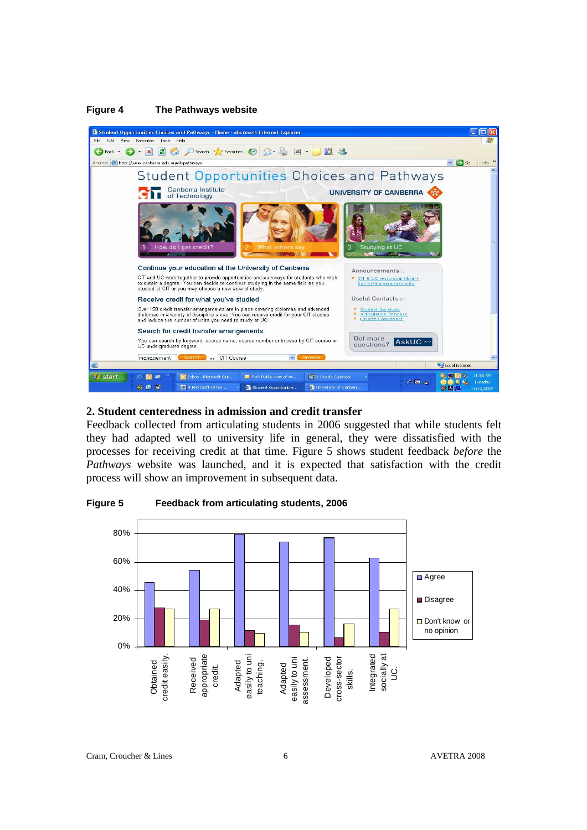

### **Figure 4 The Pathways website**

#### **2. Student centeredness in admission and credit transfer**

Feedback collected from articulating students in 2006 suggested that while students felt they had adapted well to university life in general, they were dissatisfied with the processes for receiving credit at that time. Figure 5 shows student feedback *before* the *Pathways* website was launched, and it is expected that satisfaction with the credit process will show an improvement in subsequent data.

#### **Figure 5 Feedback from articulating students, 2006**



Cram, Croucher & Lines 6 AVETRA 2008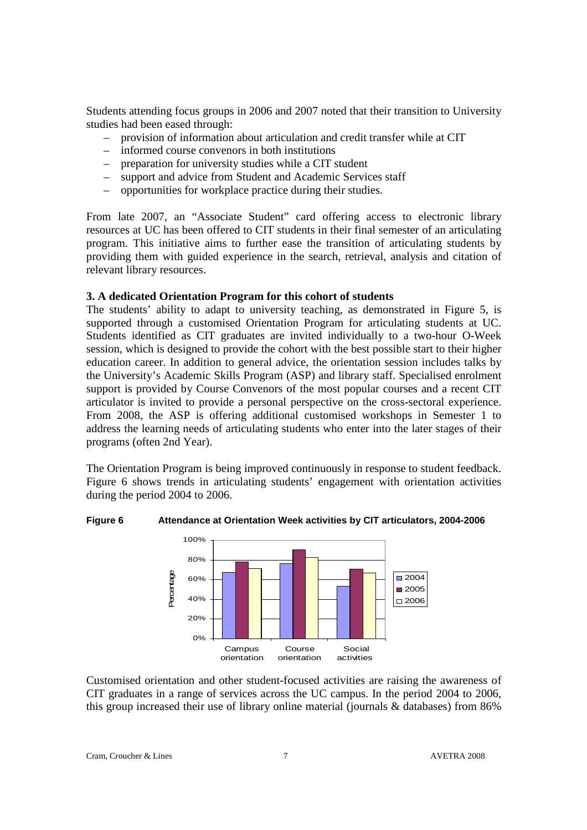Students attending focus groups in 2006 and 2007 noted that their transition to University studies had been eased through:

- provision of information about articulation and credit transfer while at CIT
- informed course convenors in both institutions
- preparation for university studies while a CIT student
- support and advice from Student and Academic Services staff
- opportunities for workplace practice during their studies.

From late 2007, an "Associate Student" card offering access to electronic library resources at UC has been offered to CIT students in their final semester of an articulating program. This initiative aims to further ease the transition of articulating students by providing them with guided experience in the search, retrieval, analysis and citation of relevant library resources.

# **3. A dedicated Orientation Program for this cohort of students**

The students' ability to adapt to university teaching, as demonstrated in Figure 5, is supported through a customised Orientation Program for articulating students at UC. Students identified as CIT graduates are invited individually to a two-hour O-Week session, which is designed to provide the cohort with the best possible start to their higher education career. In addition to general advice, the orientation session includes talks by the University's Academic Skills Program (ASP) and library staff. Specialised enrolment support is provided by Course Convenors of the most popular courses and a recent CIT articulator is invited to provide a personal perspective on the cross-sectoral experience. From 2008, the ASP is offering additional customised workshops in Semester 1 to address the learning needs of articulating students who enter into the later stages of their programs (often 2nd Year).

The Orientation Program is being improved continuously in response to student feedback. Figure 6 shows trends in articulating students' engagement with orientation activities during the period 2004 to 2006.

# **Figure 6 Attendance at Orientation Week activities by CIT articulators, 2004-2006**



Customised orientation and other student-focused activities are raising the awareness of CIT graduates in a range of services across the UC campus. In the period 2004 to 2006, this group increased their use of library online material (journals & databases) from 86%

Cram, Croucher & Lines 7 AVETRA 2008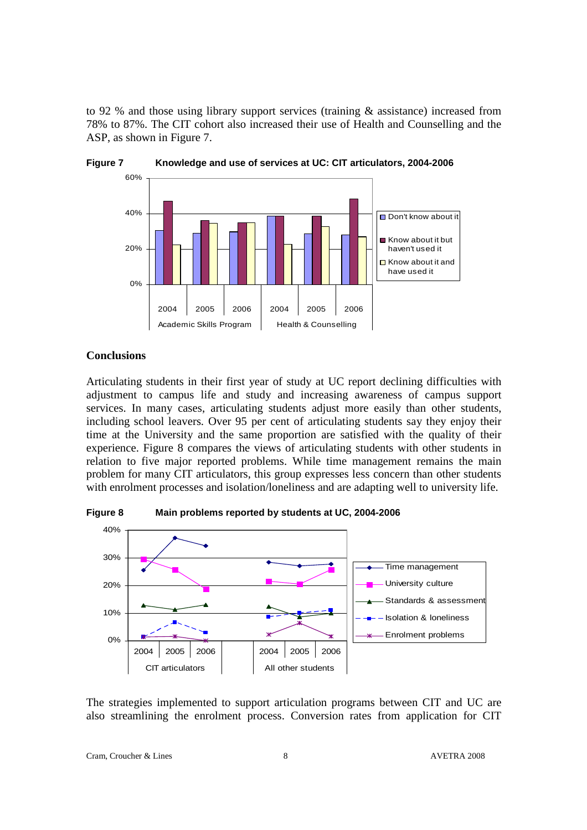to 92 % and those using library support services (training & assistance) increased from 78% to 87%. The CIT cohort also increased their use of Health and Counselling and the ASP, as shown in Figure 7.





### **Conclusions**

Articulating students in their first year of study at UC report declining difficulties with adjustment to campus life and study and increasing awareness of campus support services. In many cases, articulating students adjust more easily than other students, including school leavers. Over 95 per cent of articulating students say they enjoy their time at the University and the same proportion are satisfied with the quality of their experience. Figure 8 compares the views of articulating students with other students in relation to five major reported problems. While time management remains the main problem for many CIT articulators, this group expresses less concern than other students with enrolment processes and isolation/loneliness and are adapting well to university life.



**Figure 8 Main problems reported by students at UC, 2004-2006** 

The strategies implemented to support articulation programs between CIT and UC are also streamlining the enrolment process. Conversion rates from application for CIT

Cram, Croucher & Lines 8 AVETRA 2008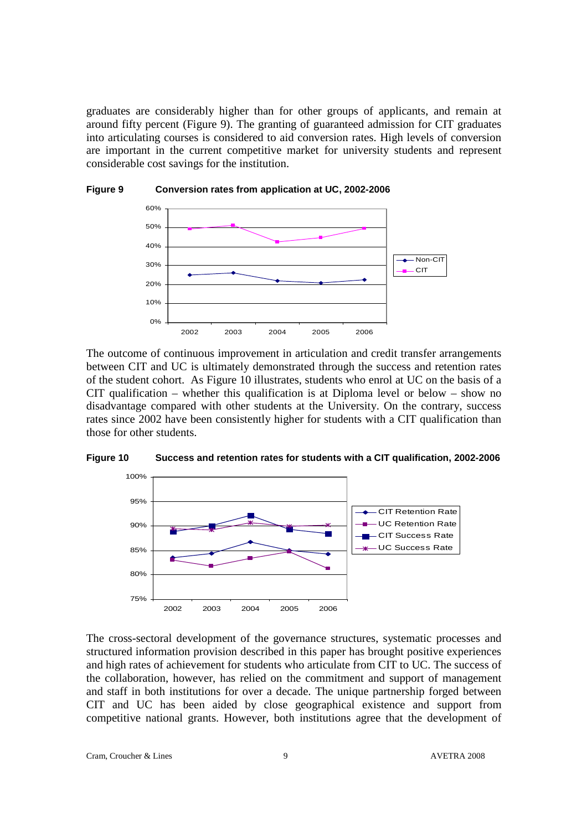graduates are considerably higher than for other groups of applicants, and remain at around fifty percent (Figure 9). The granting of guaranteed admission for CIT graduates into articulating courses is considered to aid conversion rates. High levels of conversion are important in the current competitive market for university students and represent considerable cost savings for the institution.



The outcome of continuous improvement in articulation and credit transfer arrangements between CIT and UC is ultimately demonstrated through the success and retention rates of the student cohort. As Figure 10 illustrates, students who enrol at UC on the basis of a CIT qualification – whether this qualification is at Diploma level or below – show no disadvantage compared with other students at the University. On the contrary, success rates since 2002 have been consistently higher for students with a CIT qualification than those for other students.





The cross-sectoral development of the governance structures, systematic processes and structured information provision described in this paper has brought positive experiences and high rates of achievement for students who articulate from CIT to UC. The success of the collaboration, however, has relied on the commitment and support of management and staff in both institutions for over a decade. The unique partnership forged between CIT and UC has been aided by close geographical existence and support from competitive national grants. However, both institutions agree that the development of

Cram, Croucher & Lines 9 AVETRA 2008